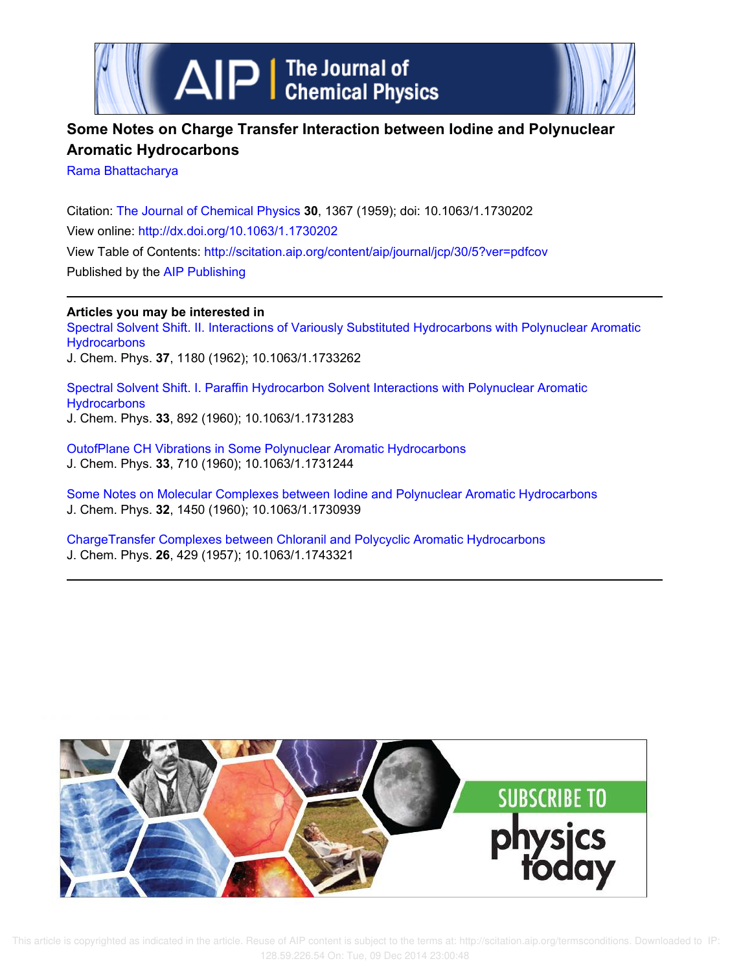

# **Some Notes on Charge Transfer Interaction between Iodine and Polynuclear Aromatic Hydrocarbons**

Rama Bhattacharya

Citation: The Journal of Chemical Physics **30**, 1367 (1959); doi: 10.1063/1.1730202 View online: http://dx.doi.org/10.1063/1.1730202 View Table of Contents: http://scitation.aip.org/content/aip/journal/jcp/30/5?ver=pdfcov Published by the AIP Publishing

**Articles you may be interested in**

Spectral Solvent Shift. II. Interactions of Variously Substituted Hydrocarbons with Polynuclear Aromatic **Hydrocarbons** J. Chem. Phys. **37**, 1180 (1962); 10.1063/1.1733262

Spectral Solvent Shift. I. Paraffin Hydrocarbon Solvent Interactions with Polynuclear Aromatic **Hydrocarbons** J. Chem. Phys. **33**, 892 (1960); 10.1063/1.1731283

OutofPlane CH Vibrations in Some Polynuclear Aromatic Hydrocarbons J. Chem. Phys. **33**, 710 (1960); 10.1063/1.1731244

Some Notes on Molecular Complexes between Iodine and Polynuclear Aromatic Hydrocarbons J. Chem. Phys. **32**, 1450 (1960); 10.1063/1.1730939

ChargeTransfer Complexes between Chloranil and Polycyclic Aromatic Hydrocarbons J. Chem. Phys. **26**, 429 (1957); 10.1063/1.1743321



 This article is copyrighted as indicated in the article. Reuse of AIP content is subject to the terms at: http://scitation.aip.org/termsconditions. Downloaded to IP: 128.59.226.54 On: Tue, 09 Dec 2014 23:00:48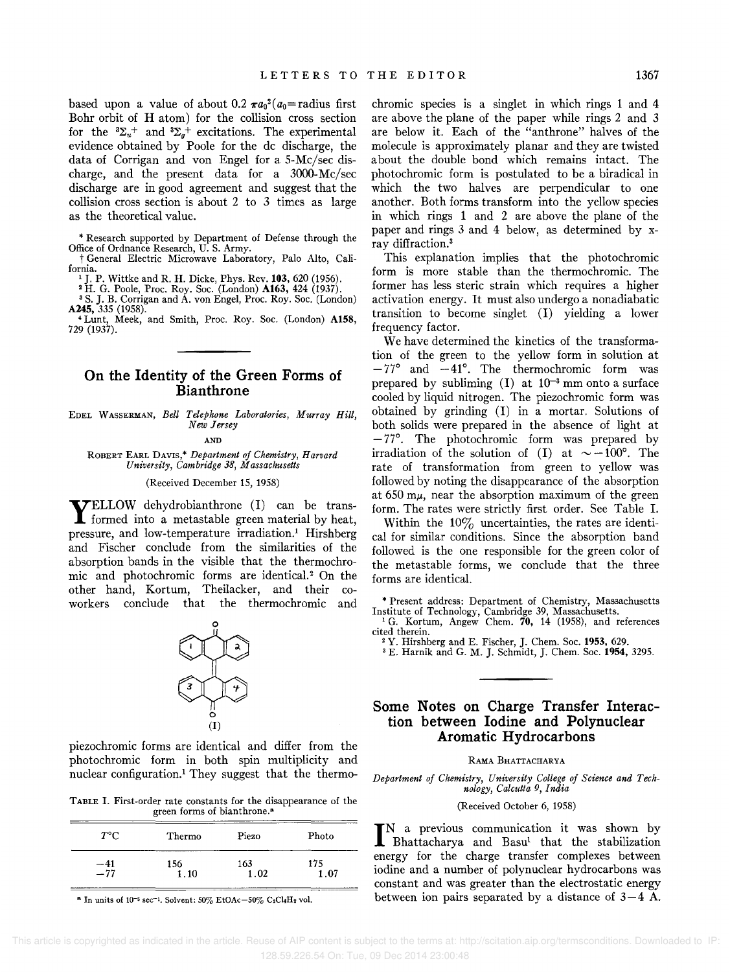based upon a value of about 0.2  $\pi a_0^2(a_0)$  = radius first Bohr orbit of H atom) for the collision cross section for the  ${}^{3}\Sigma_{u}^{+}$  and  ${}^{3}\Sigma_{g}^{+}$  excitations. The experimental evidence obtained by Poole for the dc discharge, the data of Corrigan and von Engel for a 5-Mc/sec discharge, and the present data for a 3000-Mc/sec discharge are in good agreement and suggest that the collision cross section is about 2 to 3 times as large as the theoretical value.

\* Research supported by Department of Defense through the Office of Ordnance Research, U. S. Army.

t General Electric Microwave Laboratory, Palo Alto, California.

<sup>1</sup>J. P. Wittke and R. H. Dicke, Phys. Rev. 103, 620 (1956). <sup>2</sup>H. G. Poole, Proc. Roy. Soc. (London) A163, 424 (1937).

<sup>3</sup> S. J. B. Corrigan and A. von Engel, Proc. Roy. Soc. (London) A245, 335 (1958).

<sup>4</sup>Lunt, Meek, and Smith, Proc. Roy. Soc. (London) A158, 729 (1937).

## **On the Identity of the Green Forms of Bianthrone**

EDEL WASSERMAN, *Bell Telephone Laboraiories, Murray Hill, New Jersey* 

AND

ROBERT EARL DAVIS,\* *Department of Chemistry, Harvard University, Cambridge* 38, *Massachusetts* 

#### (Received December 15, 1958)

**YELLOW** dehydrobianthrone (I) can be transformed into a metastable green material by heat, TELLOW dehydrobianthrone (I) can be transpressure, and low-temperature irradiation.<sup>1</sup> Hirshberg and Fischer conclude from the similarities of the absorption bands in the visible that the thermochromic and photochromic forms are identical.<sup>2</sup> On the other hand, Kortum, Theilacker, and their coworkers conclude that the thermochromic and



piezochromic forms are identical and differ from the photochromic form in both spin multiplicity and nuclear configuration.! They suggest that the thermo-

TABLE I. First-order rate constants for the disappearance of the green forms of bianthrone. <sup>a</sup>

| $T^{\circ}$ C    | Thermo | Piezo | Photo |  |
|------------------|--------|-------|-------|--|
| $\frac{-41}{77}$ | 156    | 163   | 175   |  |
|                  | 1.10   | .02   | .07   |  |

<sup>a</sup> In units of  $10^{-5}$  sec<sup>-1</sup>. Solvent:  $50\%$  EtOAc- $50\%$  C<sub>2</sub>Cl<sub>4</sub>H<sub>2</sub> vol.

chromic species is a singlet in which rings 1 and 4 are above the plane of the paper while rings 2 and 3 are below it. Each of the "anthrone" halves of the molecule is approximately planar and they are twisted about the double bond which remains intact. The photochromic form is postulated to be a biradical in which the two halves are perpendicular to one another. Both forms transform into the yellow species in which rings 1 and 2 are above the plane of the paper and rings 3 and 4 below, as determined by xray diffraction.<sup>3</sup>

This explanation implies that the photochromic form is more stable than the thermochromic. The former has less steric strain which requires a higher activation energy. It must also undergo a nonadiabatic transition to become singlet (I) yielding a lower frequency factor.

We have determined the kinetics of the transformation of the green to the yellow form in solution at  $-77^{\circ}$  and  $-41^{\circ}$ . The thermochromic form was prepared by subliming  $(I)$  at  $10^{-3}$  mm onto a surface cooled by liquid nitrogen. The piezochromic form was obtained by grinding (I) in a mortar. Solutions of both solids were prepared in the absence of light at  $-77$ °. The photochromic form was prepared by irradiation of the solution of (I) at  $\sim -100^{\circ}$ . The rate of transformation from green to yellow was followed by noting the disappearance of the absorption at  $650 \text{ m}\mu$ , near the absorption maximum of the green form. The rates were strictly first order. See Table I.

Within the  $10\%$  uncertainties, the rates are identical for similar conditions. Since the absorption band followed is the one responsible for the green color of the metastable forms, we conclude that the three forms are identical.

\* Present address: Department of Chemistry, Massachusetts Institute of Technology, Cambridge 39, Massachusetts. <sup>1</sup>G. Kortum, Angew Chern. 70, 14 (1958), and references

cited therein.

<sup>2</sup> Y. Hirshberg and E. Fischer, J. Chem. Soc. 1953, 629.<br><sup>3</sup> E. Harnik and G. M. J. Schmidt, J. Chem. Soc. 1954, 3295.

#### **Some Notes on Charge Transfer Interaction between Iodine and Polynuclear Aromatic Hydrocarbons**

#### RAMA BHATTACHARYA

*Department of Chemistry, University College of Science and Technology, Calcutta* 9, *India* 

(Received October 6, 1958)

IN a previous communication it was shown by Bhattacharya and Basu<sup>1</sup> that the stabilization N a previous communication it was shown by energy for the charge transfer complexes between iodine and a number of polynuclear hydrocarbons was constant and was greater than the electrostatic energy between ion pairs separated by a distance of  $3-4$  A.